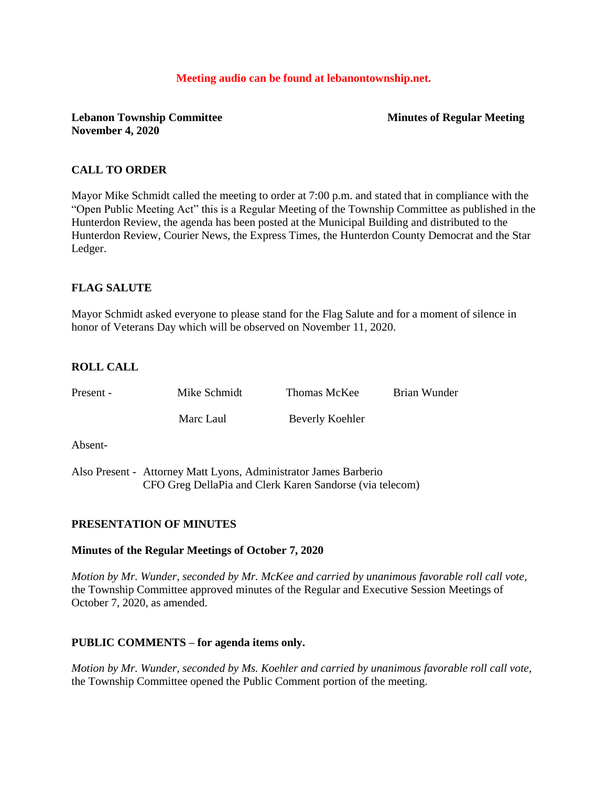#### **Meeting audio can be found at lebanontownship.net.**

### **Lebanon Township Committee Minutes of Regular Meeting November 4, 2020**

## **CALL TO ORDER**

Mayor Mike Schmidt called the meeting to order at 7:00 p.m. and stated that in compliance with the "Open Public Meeting Act" this is a Regular Meeting of the Township Committee as published in the Hunterdon Review, the agenda has been posted at the Municipal Building and distributed to the Hunterdon Review, Courier News, the Express Times, the Hunterdon County Democrat and the Star Ledger.

## **FLAG SALUTE**

Mayor Schmidt asked everyone to please stand for the Flag Salute and for a moment of silence in honor of Veterans Day which will be observed on November 11, 2020.

## **ROLL CALL**

| Present - | Mike Schmidt | Thomas McKee    | Brian Wunder |
|-----------|--------------|-----------------|--------------|
|           | Marc Laul    | Beverly Koehler |              |
| Absent-   |              |                 |              |

Also Present - Attorney Matt Lyons, Administrator James Barberio CFO Greg DellaPia and Clerk Karen Sandorse (via telecom)

### **PRESENTATION OF MINUTES**

### **Minutes of the Regular Meetings of October 7, 2020**

*Motion by Mr. Wunder, seconded by Mr. McKee and carried by unanimous favorable roll call vote,* the Township Committee approved minutes of the Regular and Executive Session Meetings of October 7, 2020, as amended.

### **PUBLIC COMMENTS – for agenda items only.**

*Motion by Mr. Wunder, seconded by Ms. Koehler and carried by unanimous favorable roll call vote,* the Township Committee opened the Public Comment portion of the meeting.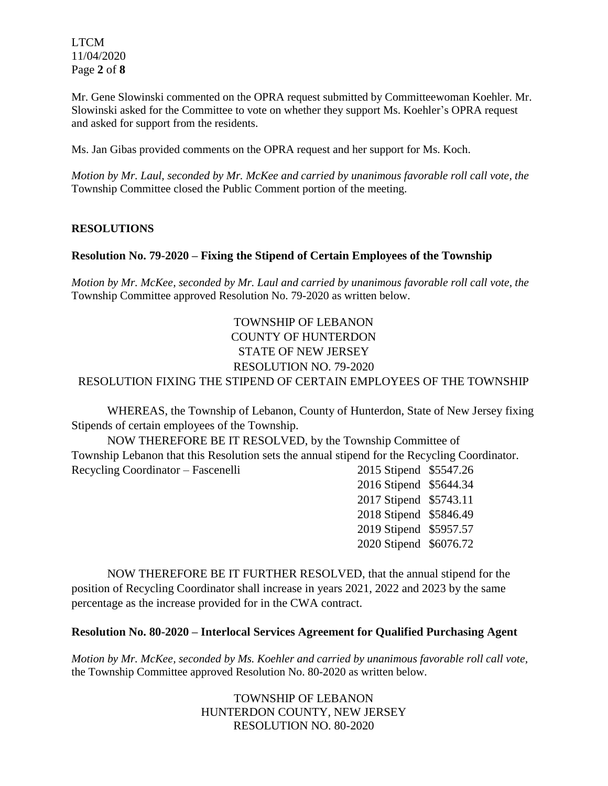LTCM 11/04/2020 Page **2** of **8**

Mr. Gene Slowinski commented on the OPRA request submitted by Committeewoman Koehler. Mr. Slowinski asked for the Committee to vote on whether they support Ms. Koehler's OPRA request and asked for support from the residents.

Ms. Jan Gibas provided comments on the OPRA request and her support for Ms. Koch.

*Motion by Mr. Laul, seconded by Mr. McKee and carried by unanimous favorable roll call vote, the* Township Committee closed the Public Comment portion of the meeting.

### **RESOLUTIONS**

### **Resolution No. 79-2020 – Fixing the Stipend of Certain Employees of the Township**

*Motion by Mr. McKee, seconded by Mr. Laul and carried by unanimous favorable roll call vote, the* Township Committee approved Resolution No. 79-2020 as written below.

# TOWNSHIP OF LEBANON COUNTY OF HUNTERDON STATE OF NEW JERSEY RESOLUTION NO. 79-2020 RESOLUTION FIXING THE STIPEND OF CERTAIN EMPLOYEES OF THE TOWNSHIP

WHEREAS, the Township of Lebanon, County of Hunterdon, State of New Jersey fixing Stipends of certain employees of the Township.

NOW THEREFORE BE IT RESOLVED, by the Township Committee of Township Lebanon that this Resolution sets the annual stipend for the Recycling Coordinator. Recycling Coordinator – Fascenelli 2015 Stipend \$5547.26

2016 Stipend \$5644.34 2017 Stipend \$5743.11 2018 Stipend \$5846.49 2019 Stipend \$5957.57 2020 Stipend \$6076.72

NOW THEREFORE BE IT FURTHER RESOLVED, that the annual stipend for the position of Recycling Coordinator shall increase in years 2021, 2022 and 2023 by the same percentage as the increase provided for in the CWA contract.

### **Resolution No. 80-2020 – Interlocal Services Agreement for Qualified Purchasing Agent**

*Motion by Mr. McKee, seconded by Ms. Koehler and carried by unanimous favorable roll call vote,* the Township Committee approved Resolution No. 80-2020 as written below.

> TOWNSHIP OF LEBANON HUNTERDON COUNTY, NEW JERSEY RESOLUTION NO. 80-2020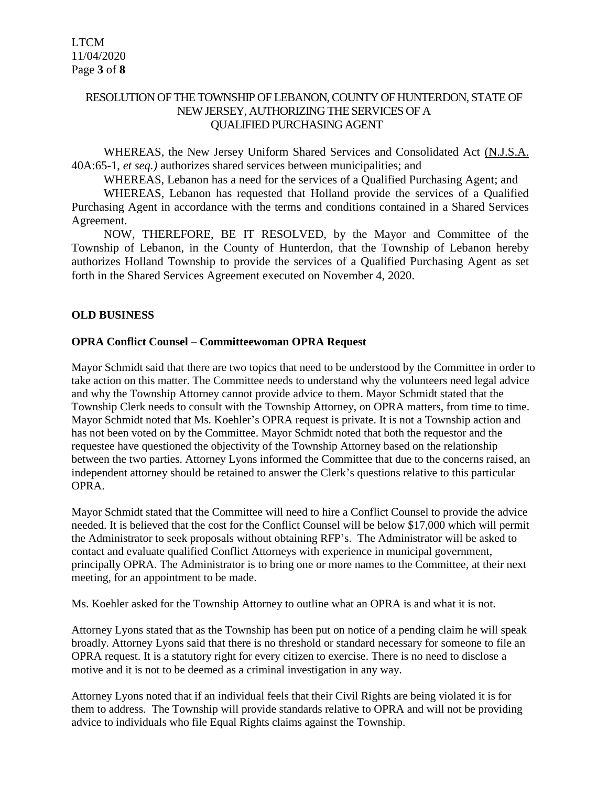## RESOLUTION OF THE TOWNSHIP OF LEBANON, COUNTY OF HUNTERDON, STATE OF NEW JERSEY, AUTHORIZING THE SERVICES OF A QUALIFIED PURCHASING AGENT

WHEREAS, the New Jersey Uniform Shared Services and Consolidated Act (N.J.S.A. 40A:65-1, *et seq.)* authorizes shared services between municipalities; and

WHEREAS, Lebanon has a need for the services of a Qualified Purchasing Agent; and

WHEREAS, Lebanon has requested that Holland provide the services of a Qualified Purchasing Agent in accordance with the terms and conditions contained in a Shared Services Agreement.

NOW, THEREFORE, BE IT RESOLVED, by the Mayor and Committee of the Township of Lebanon, in the County of Hunterdon, that the Township of Lebanon hereby authorizes Holland Township to provide the services of a Qualified Purchasing Agent as set forth in the Shared Services Agreement executed on November 4, 2020.

### **OLD BUSINESS**

#### **OPRA Conflict Counsel – Committeewoman OPRA Request**

Mayor Schmidt said that there are two topics that need to be understood by the Committee in order to take action on this matter. The Committee needs to understand why the volunteers need legal advice and why the Township Attorney cannot provide advice to them. Mayor Schmidt stated that the Township Clerk needs to consult with the Township Attorney, on OPRA matters, from time to time. Mayor Schmidt noted that Ms. Koehler's OPRA request is private. It is not a Township action and has not been voted on by the Committee. Mayor Schmidt noted that both the requestor and the requestee have questioned the objectivity of the Township Attorney based on the relationship between the two parties. Attorney Lyons informed the Committee that due to the concerns raised, an independent attorney should be retained to answer the Clerk's questions relative to this particular OPRA.

Mayor Schmidt stated that the Committee will need to hire a Conflict Counsel to provide the advice needed. It is believed that the cost for the Conflict Counsel will be below \$17,000 which will permit the Administrator to seek proposals without obtaining RFP's. The Administrator will be asked to contact and evaluate qualified Conflict Attorneys with experience in municipal government, principally OPRA. The Administrator is to bring one or more names to the Committee, at their next meeting, for an appointment to be made.

Ms. Koehler asked for the Township Attorney to outline what an OPRA is and what it is not.

Attorney Lyons stated that as the Township has been put on notice of a pending claim he will speak broadly. Attorney Lyons said that there is no threshold or standard necessary for someone to file an OPRA request. It is a statutory right for every citizen to exercise. There is no need to disclose a motive and it is not to be deemed as a criminal investigation in any way.

Attorney Lyons noted that if an individual feels that their Civil Rights are being violated it is for them to address. The Township will provide standards relative to OPRA and will not be providing advice to individuals who file Equal Rights claims against the Township.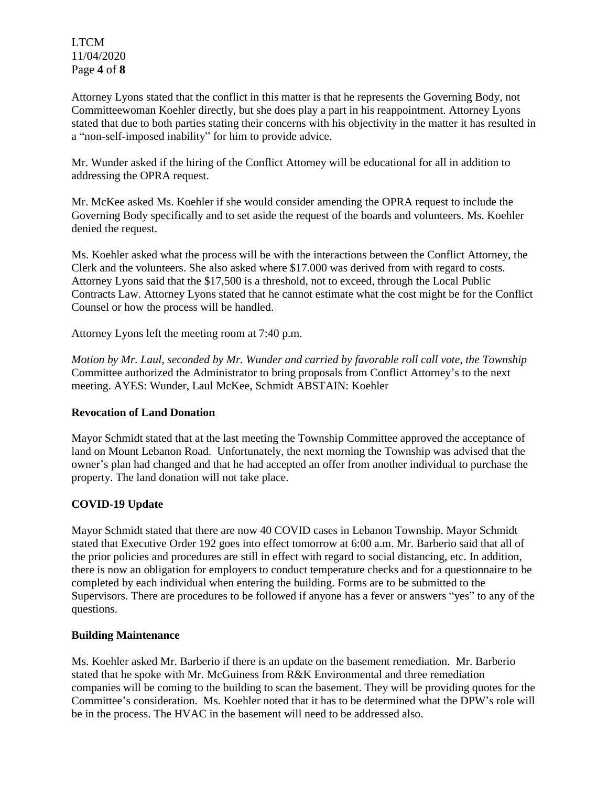LTCM 11/04/2020 Page **4** of **8**

Attorney Lyons stated that the conflict in this matter is that he represents the Governing Body, not Committeewoman Koehler directly, but she does play a part in his reappointment. Attorney Lyons stated that due to both parties stating their concerns with his objectivity in the matter it has resulted in a "non-self-imposed inability" for him to provide advice.

Mr. Wunder asked if the hiring of the Conflict Attorney will be educational for all in addition to addressing the OPRA request.

Mr. McKee asked Ms. Koehler if she would consider amending the OPRA request to include the Governing Body specifically and to set aside the request of the boards and volunteers. Ms. Koehler denied the request.

Ms. Koehler asked what the process will be with the interactions between the Conflict Attorney, the Clerk and the volunteers. She also asked where \$17.000 was derived from with regard to costs. Attorney Lyons said that the \$17,500 is a threshold, not to exceed, through the Local Public Contracts Law. Attorney Lyons stated that he cannot estimate what the cost might be for the Conflict Counsel or how the process will be handled.

Attorney Lyons left the meeting room at 7:40 p.m.

*Motion by Mr. Laul, seconded by Mr. Wunder and carried by favorable roll call vote, the Township* Committee authorized the Administrator to bring proposals from Conflict Attorney's to the next meeting. AYES: Wunder, Laul McKee, Schmidt ABSTAIN: Koehler

### **Revocation of Land Donation**

Mayor Schmidt stated that at the last meeting the Township Committee approved the acceptance of land on Mount Lebanon Road. Unfortunately, the next morning the Township was advised that the owner's plan had changed and that he had accepted an offer from another individual to purchase the property. The land donation will not take place.

### **COVID-19 Update**

Mayor Schmidt stated that there are now 40 COVID cases in Lebanon Township. Mayor Schmidt stated that Executive Order 192 goes into effect tomorrow at 6:00 a.m. Mr. Barberio said that all of the prior policies and procedures are still in effect with regard to social distancing, etc. In addition, there is now an obligation for employers to conduct temperature checks and for a questionnaire to be completed by each individual when entering the building. Forms are to be submitted to the Supervisors. There are procedures to be followed if anyone has a fever or answers "yes" to any of the questions.

### **Building Maintenance**

Ms. Koehler asked Mr. Barberio if there is an update on the basement remediation. Mr. Barberio stated that he spoke with Mr. McGuiness from R&K Environmental and three remediation companies will be coming to the building to scan the basement. They will be providing quotes for the Committee's consideration. Ms. Koehler noted that it has to be determined what the DPW's role will be in the process. The HVAC in the basement will need to be addressed also.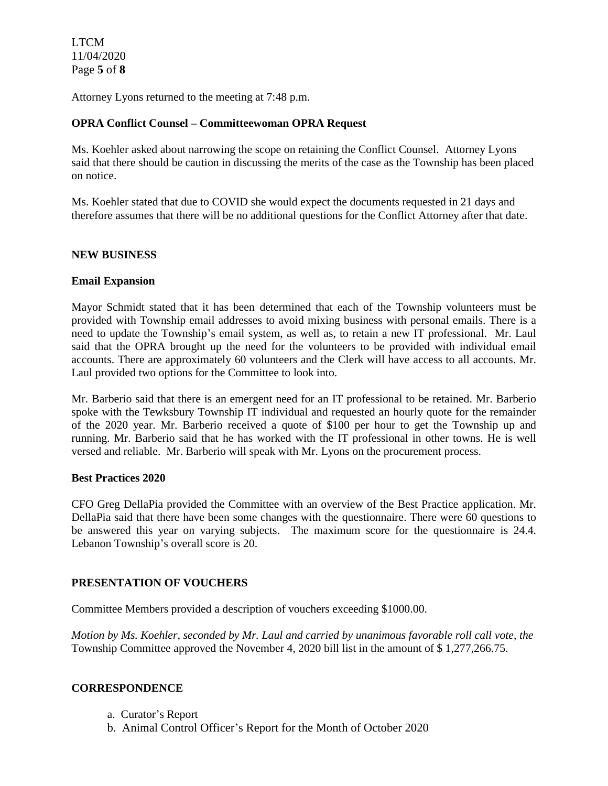LTCM 11/04/2020 Page **5** of **8**

Attorney Lyons returned to the meeting at 7:48 p.m.

#### **OPRA Conflict Counsel – Committeewoman OPRA Request**

Ms. Koehler asked about narrowing the scope on retaining the Conflict Counsel. Attorney Lyons said that there should be caution in discussing the merits of the case as the Township has been placed on notice.

Ms. Koehler stated that due to COVID she would expect the documents requested in 21 days and therefore assumes that there will be no additional questions for the Conflict Attorney after that date.

#### **NEW BUSINESS**

#### **Email Expansion**

Mayor Schmidt stated that it has been determined that each of the Township volunteers must be provided with Township email addresses to avoid mixing business with personal emails. There is a need to update the Township's email system, as well as, to retain a new IT professional. Mr. Laul said that the OPRA brought up the need for the volunteers to be provided with individual email accounts. There are approximately 60 volunteers and the Clerk will have access to all accounts. Mr. Laul provided two options for the Committee to look into.

Mr. Barberio said that there is an emergent need for an IT professional to be retained. Mr. Barberio spoke with the Tewksbury Township IT individual and requested an hourly quote for the remainder of the 2020 year. Mr. Barberio received a quote of \$100 per hour to get the Township up and running. Mr. Barberio said that he has worked with the IT professional in other towns. He is well versed and reliable. Mr. Barberio will speak with Mr. Lyons on the procurement process.

#### **Best Practices 2020**

CFO Greg DellaPia provided the Committee with an overview of the Best Practice application. Mr. DellaPia said that there have been some changes with the questionnaire. There were 60 questions to be answered this year on varying subjects. The maximum score for the questionnaire is 24.4. Lebanon Township's overall score is 20.

### **PRESENTATION OF VOUCHERS**

Committee Members provided a description of vouchers exceeding \$1000.00.

*Motion by Ms. Koehler, seconded by Mr. Laul and carried by unanimous favorable roll call vote, the* Township Committee approved the November 4, 2020 bill list in the amount of \$ 1,277,266.75.

### **CORRESPONDENCE**

- a. Curator's Report
- b. Animal Control Officer's Report for the Month of October 2020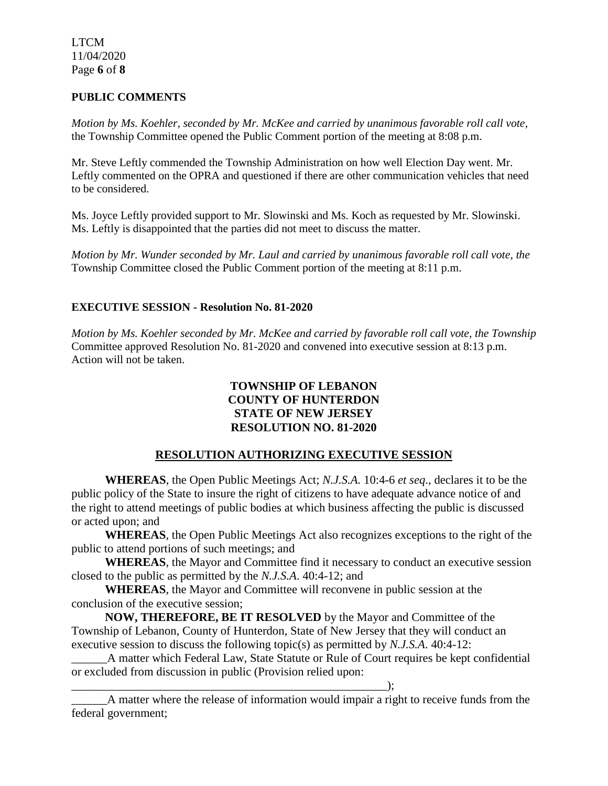LTCM 11/04/2020 Page **6** of **8**

## **PUBLIC COMMENTS**

*Motion by Ms. Koehler, seconded by Mr. McKee and carried by unanimous favorable roll call vote,* the Township Committee opened the Public Comment portion of the meeting at 8:08 p.m.

Mr. Steve Leftly commended the Township Administration on how well Election Day went. Mr. Leftly commented on the OPRA and questioned if there are other communication vehicles that need to be considered.

Ms. Joyce Leftly provided support to Mr. Slowinski and Ms. Koch as requested by Mr. Slowinski. Ms. Leftly is disappointed that the parties did not meet to discuss the matter.

*Motion by Mr. Wunder seconded by Mr. Laul and carried by unanimous favorable roll call vote, the* Township Committee closed the Public Comment portion of the meeting at 8:11 p.m.

## **EXECUTIVE SESSION - Resolution No. 81-2020**

*Motion by Ms. Koehler seconded by Mr. McKee and carried by favorable roll call vote, the Township* Committee approved Resolution No. 81-2020 and convened into executive session at 8:13 p.m. Action will not be taken.

## **TOWNSHIP OF LEBANON COUNTY OF HUNTERDON STATE OF NEW JERSEY RESOLUTION NO. 81-2020**

# **RESOLUTION AUTHORIZING EXECUTIVE SESSION**

**WHEREAS**, the Open Public Meetings Act; *N.J.S.A.* 10:4-6 *et seq*., declares it to be the public policy of the State to insure the right of citizens to have adequate advance notice of and the right to attend meetings of public bodies at which business affecting the public is discussed or acted upon; and

**WHEREAS**, the Open Public Meetings Act also recognizes exceptions to the right of the public to attend portions of such meetings; and

**WHEREAS**, the Mayor and Committee find it necessary to conduct an executive session closed to the public as permitted by the *N.J.S.A*. 40:4-12; and

**WHEREAS**, the Mayor and Committee will reconvene in public session at the conclusion of the executive session;

\_\_\_\_\_\_\_\_\_\_\_\_\_\_\_\_\_\_\_\_\_\_\_\_\_\_\_\_\_\_\_\_\_\_\_\_\_\_\_\_\_\_\_\_\_\_\_\_\_\_\_\_\_);

**NOW, THEREFORE, BE IT RESOLVED** by the Mayor and Committee of the Township of Lebanon, County of Hunterdon, State of New Jersey that they will conduct an executive session to discuss the following topic(s) as permitted by *N.J.S.A*. 40:4-12:

\_\_\_\_\_\_A matter which Federal Law, State Statute or Rule of Court requires be kept confidential or excluded from discussion in public (Provision relied upon:

A matter where the release of information would impair a right to receive funds from the federal government;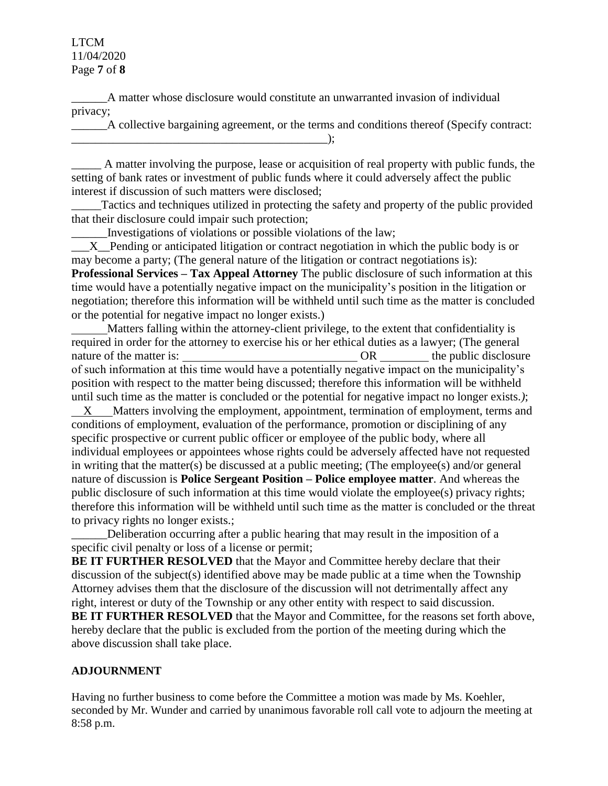### LTCM 11/04/2020 Page **7** of **8**

\_\_\_\_\_\_A matter whose disclosure would constitute an unwarranted invasion of individual privacy;

\_\_\_\_\_\_A collective bargaining agreement, or the terms and conditions thereof (Specify contract:  $\qquad \qquad \text{)}$ ;

\_\_\_\_\_ A matter involving the purpose, lease or acquisition of real property with public funds, the setting of bank rates or investment of public funds where it could adversely affect the public interest if discussion of such matters were disclosed;

Tactics and techniques utilized in protecting the safety and property of the public provided that their disclosure could impair such protection;

\_\_\_\_\_\_Investigations of violations or possible violations of the law;

X Pending or anticipated litigation or contract negotiation in which the public body is or may become a party; (The general nature of the litigation or contract negotiations is): **Professional Services – Tax Appeal Attorney** The public disclosure of such information at this time would have a potentially negative impact on the municipality's position in the litigation or negotiation; therefore this information will be withheld until such time as the matter is concluded or the potential for negative impact no longer exists.)

 Matters falling within the attorney-client privilege, to the extent that confidentiality is required in order for the attorney to exercise his or her ethical duties as a lawyer; (The general nature of the matter is:  $\overline{\qquad}$  OR  $\overline{\qquad}$  or  $\overline{\qquad}$  the public disclosure of such information at this time would have a potentially negative impact on the municipality's position with respect to the matter being discussed; therefore this information will be withheld until such time as the matter is concluded or the potential for negative impact no longer exists.*)*; X Matters involving the employment, appointment, termination of employment, terms and conditions of employment, evaluation of the performance, promotion or disciplining of any specific prospective or current public officer or employee of the public body, where all individual employees or appointees whose rights could be adversely affected have not requested

in writing that the matter(s) be discussed at a public meeting; (The employee(s) and/or general nature of discussion is **Police Sergeant Position – Police employee matter**. And whereas the public disclosure of such information at this time would violate the employee(s) privacy rights; therefore this information will be withheld until such time as the matter is concluded or the threat to privacy rights no longer exists.;

\_\_\_\_\_\_Deliberation occurring after a public hearing that may result in the imposition of a specific civil penalty or loss of a license or permit;

**BE IT FURTHER RESOLVED** that the Mayor and Committee hereby declare that their discussion of the subject(s) identified above may be made public at a time when the Township Attorney advises them that the disclosure of the discussion will not detrimentally affect any right, interest or duty of the Township or any other entity with respect to said discussion. **BE IT FURTHER RESOLVED** that the Mayor and Committee, for the reasons set forth above, hereby declare that the public is excluded from the portion of the meeting during which the above discussion shall take place.

# **ADJOURNMENT**

Having no further business to come before the Committee a motion was made by Ms. Koehler, seconded by Mr. Wunder and carried by unanimous favorable roll call vote to adjourn the meeting at 8:58 p.m.